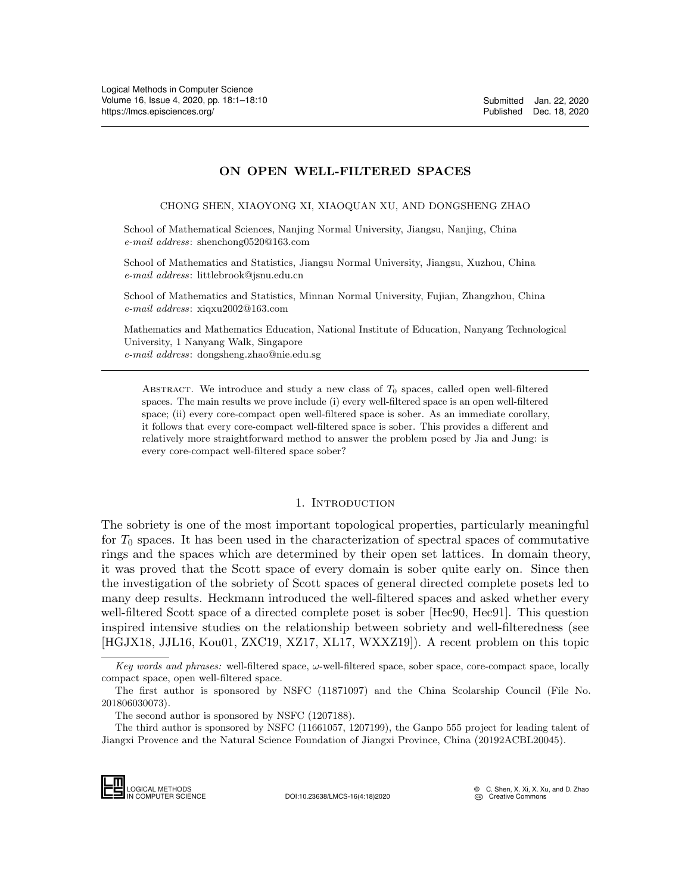# ON OPEN WELL-FILTERED SPACES

CHONG SHEN, XIAOYONG XI, XIAOQUAN XU, AND DONGSHENG ZHAO

School of Mathematical Sciences, Nanjing Normal University, Jiangsu, Nanjing, China e-mail address: shenchong0520@163.com

School of Mathematics and Statistics, Jiangsu Normal University, Jiangsu, Xuzhou, China e-mail address: littlebrook@jsnu.edu.cn

School of Mathematics and Statistics, Minnan Normal University, Fujian, Zhangzhou, China e-mail address: xiqxu2002@163.com

Mathematics and Mathematics Education, National Institute of Education, Nanyang Technological University, 1 Nanyang Walk, Singapore e-mail address: dongsheng.zhao@nie.edu.sg

ABSTRACT. We introduce and study a new class of  $T_0$  spaces, called open well-filtered spaces. The main results we prove include (i) every well-filtered space is an open well-filtered space; (ii) every core-compact open well-filtered space is sober. As an immediate corollary, it follows that every core-compact well-filtered space is sober. This provides a different and relatively more straightforward method to answer the problem posed by Jia and Jung: is every core-compact well-filtered space sober?

### 1. INTRODUCTION

The sobriety is one of the most important topological properties, particularly meaningful for  $T_0$  spaces. It has been used in the characterization of spectral spaces of commutative rings and the spaces which are determined by their open set lattices. In domain theory, it was proved that the Scott space of every domain is sober quite early on. Since then the investigation of the sobriety of Scott spaces of general directed complete posets led to many deep results. Heckmann introduced the well-filtered spaces and asked whether every well-filtered Scott space of a directed complete poset is sober [\[Hec90,](#page-8-0) [Hec91\]](#page-8-1). This question inspired intensive studies on the relationship between sobriety and well-filteredness (see [\[HGJX18,](#page-8-2) [JJL16,](#page-8-3) [Kou01,](#page-8-4) [ZXC19,](#page-9-1) [XZ17,](#page-9-2) [XL17,](#page-9-3) [WXXZ19\]](#page-9-4)). A recent problem on this topic

The third author is sponsored by NSFC (11661057, 1207199), the Ganpo 555 project for leading talent of Jiangxi Provence and the Natural Science Foundation of Jiangxi Province, China (20192ACBL20045).



Key words and phrases: well-filtered space,  $\omega$ -well-filtered space, sober space, core-compact space, locally compact space, open well-filtered space.

The first author is sponsored by NSFC (11871097) and the China Scolarship Council (File No. 201806030073).

The second author is sponsored by NSFC (1207188).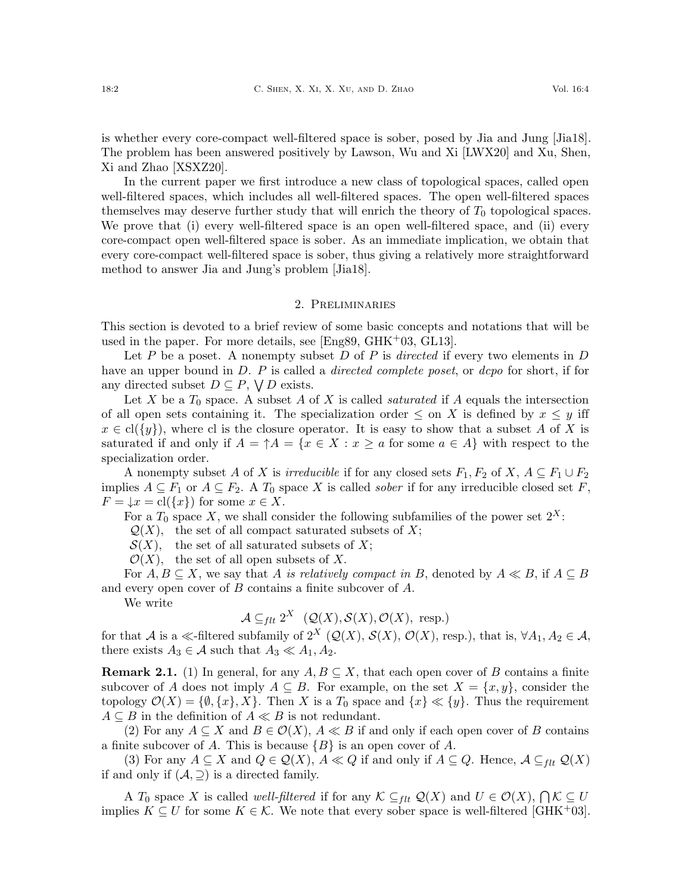is whether every core-compact well-filtered space is sober, posed by Jia and Jung [\[Jia18\]](#page-8-5). The problem has been answered positively by Lawson, Wu and Xi [\[LWX20\]](#page-9-5) and Xu, Shen, Xi and Zhao [\[XSXZ20\]](#page-9-6).

In the current paper we first introduce a new class of topological spaces, called open well-filtered spaces, which includes all well-filtered spaces. The open well-filtered spaces themselves may deserve further study that will enrich the theory of  $T_0$  topological spaces. We prove that (i) every well-filtered space is an open well-filtered space, and (ii) every core-compact open well-filtered space is sober. As an immediate implication, we obtain that every core-compact well-filtered space is sober, thus giving a relatively more straightforward method to answer Jia and Jung's problem [\[Jia18\]](#page-8-5).

### 2. Preliminaries

This section is devoted to a brief review of some basic concepts and notations that will be used in the paper. For more details, see [\[Eng89,](#page-8-6) [GHK](#page-8-7)+03, [GL13\]](#page-8-8).

Let P be a poset. A nonempty subset D of P is directed if every two elements in D have an upper bound in D. P is called a *directed complete poset*, or *dcpo* for short, if for any directed subset  $D \subseteq P$ ,  $\bigvee D$  exists.

Let X be a  $T_0$  space. A subset A of X is called *saturated* if A equals the intersection of all open sets containing it. The specialization order  $\leq$  on X is defined by  $x \leq y$  iff  $x \in \text{cl}(\lbrace y \rbrace)$ , where cl is the closure operator. It is easy to show that a subset A of X is saturated if and only if  $A = \uparrow A = \{x \in X : x \ge a \text{ for some } a \in A\}$  with respect to the specialization order.

A nonempty subset A of X is irreducible if for any closed sets  $F_1, F_2$  of X,  $A \subseteq F_1 \cup F_2$ implies  $A \subseteq F_1$  or  $A \subseteq F_2$ . A  $T_0$  space X is called *sober* if for any irreducible closed set F,  $F = \downarrow x = \text{cl}(\lbrace x \rbrace)$  for some  $x \in X$ .

For a  $T_0$  space X, we shall consider the following subfamilies of the power set  $2^X$ :

 $\mathcal{Q}(X)$ , the set of all compact saturated subsets of X;

 $\mathcal{S}(X)$ , the set of all saturated subsets of X;

 $\mathcal{O}(X)$ , the set of all open subsets of X.

For  $A, B \subseteq X$ , we say that A is relatively compact in B, denoted by  $A \ll B$ , if  $A \subseteq B$ and every open cover of B contains a finite subcover of A.

We write

 $\mathcal{A} \subseteq_{flt} 2^X \quad (\mathcal{Q}(X), \mathcal{S}(X), \mathcal{O}(X), \text{ resp.})$ 

for that A is a  $\ll$ -filtered subfamily of  $2^X$   $(Q(X), S(X), O(X),$  resp.), that is,  $\forall A_1, A_2 \in \mathcal{A}$ , there exists  $A_3 \in \mathcal{A}$  such that  $A_3 \ll A_1, A_2$ .

**Remark 2.1.** (1) In general, for any  $A, B \subseteq X$ , that each open cover of B contains a finite subcover of A does not imply  $A \subseteq B$ . For example, on the set  $X = \{x, y\}$ , consider the topology  $\mathcal{O}(X) = \{\emptyset, \{x\}, X\}$ . Then X is a  $T_0$  space and  $\{x\} \ll \{y\}$ . Thus the requirement  $A \subseteq B$  in the definition of  $A \ll B$  is not redundant.

(2) For any  $A \subseteq X$  and  $B \in \mathcal{O}(X)$ ,  $A \ll B$  if and only if each open cover of B contains a finite subcover of A. This is because  ${B}$  is an open cover of A.

(3) For any  $A \subseteq X$  and  $Q \in \mathcal{Q}(X)$ ,  $A \ll Q$  if and only if  $A \subseteq Q$ . Hence,  $A \subseteq_{flt} Q(X)$ if and only if  $(\mathcal{A}, \supseteq)$  is a directed family.

A  $T_0$  space X is called *well-filtered* if for any  $K \subseteq_{ftt} \mathcal{Q}(X)$  and  $U \in \mathcal{O}(X)$ ,  $\bigcap \mathcal{K} \subseteq U$ implies  $K \subseteq U$  for some  $K \in \mathcal{K}$ . We note that every sober space is well-filtered [\[GHK](#page-8-7)<sup>+</sup>03].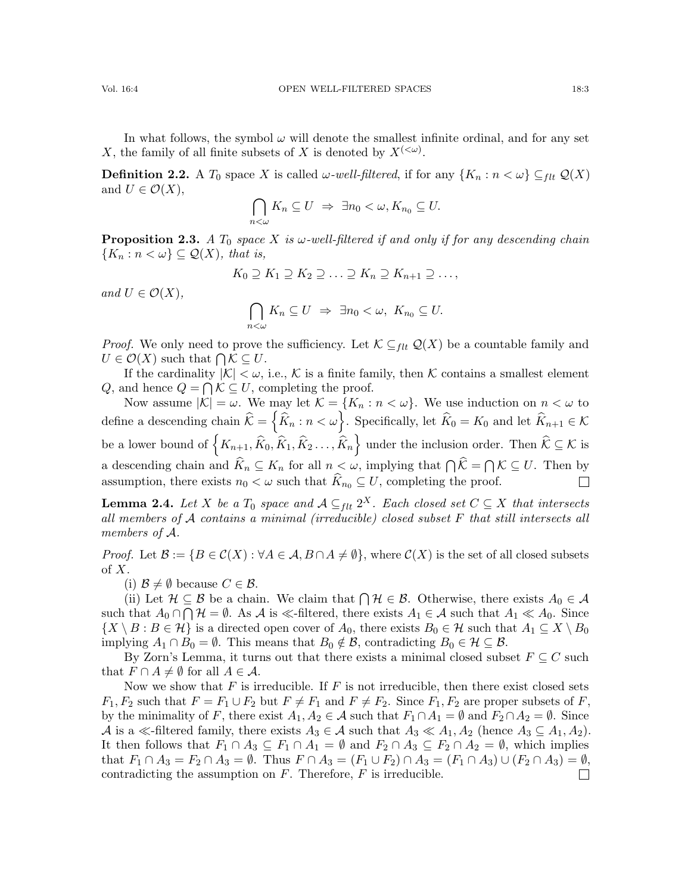In what follows, the symbol  $\omega$  will denote the smallest infinite ordinal, and for any set X, the family of all finite subsets of X is denoted by  $X^{(<\omega)}$ .

**Definition 2.2.** A  $T_0$  space X is called  $\omega$ -well-filtered, if for any  $\{K_n : n < \omega\} \subseteq_{flt} \mathcal{Q}(X)$ and  $U \in \mathcal{O}(X)$ ,

$$
\bigcap_{n<\omega}K_n\subseteq U\;\Rightarrow\; \exists n_0<\omega,K_{n_0}\subseteq U.
$$

<span id="page-2-0"></span>**Proposition 2.3.** A  $T_0$  space X is  $\omega$ -well-filtered if and only if for any descending chain  ${K_n : n < \omega} \subseteq \mathcal{Q}(X)$ , that is,

$$
K_0 \supseteq K_1 \supseteq K_2 \supseteq \ldots \supseteq K_n \supseteq K_{n+1} \supseteq \ldots,
$$

and  $U \in \mathcal{O}(X)$ ,

$$
\bigcap_{n<\omega}K_n\subseteq U\;\Rightarrow\; \exists n_0<\omega,\;K_{n_0}\subseteq U.
$$

*Proof.* We only need to prove the sufficiency. Let  $\mathcal{K} \subseteq_{\text{flt}} \mathcal{Q}(X)$  be a countable family and  $U \in \mathcal{O}(X)$  such that  $\bigcap \mathcal{K} \subseteq U$ .

If the cardinality  $|K| < \omega$ , i.e., K is a finite family, then K contains a smallest element Q, and hence  $Q = \bigcap \mathcal{K} \subseteq U$ , completing the proof.

Now assume  $|K| = \omega$ . We may let  $K = \{K_n : n < \omega\}$ . We use induction on  $n < \omega$  to define a descending chain  $\widehat{\mathcal{K}} = \left\{ \widehat{K}_n : n < \omega \right\}$ . Specifically, let  $\widehat{K}_0 = K_0$  and let  $\widehat{K}_{n+1} \in \mathcal{K}$ be a lower bound of  $\left\{K_{n+1}, \widehat{K}_0, \widehat{K}_1, \widehat{K}_2 \ldots, \widehat{K}_n\right\}$  under the inclusion order. Then  $\widehat{\mathcal{K}} \subseteq \mathcal{K}$  is a descending chain and  $K_n \subseteq K_n$  for all  $n < \omega$ , implying that  $\bigcap \mathcal{K} = \bigcap \mathcal{K} \subseteq U$ . Then by assumption, there exists  $n_0 < \omega$  such that  $\widehat{K}_{n_0} \subseteq U$ , completing the proof.  $\Box$ 

<span id="page-2-1"></span>**Lemma 2.4.** Let X be a  $T_0$  space and  $\mathcal{A} \subseteq_{flt} 2^X$ . Each closed set  $C \subseteq X$  that intersects all members of A contains a minimal (irreducible) closed subset F that still intersects all members of A.

*Proof.* Let  $\mathcal{B} := \{B \in \mathcal{C}(X) : \forall A \in \mathcal{A}, B \cap A \neq \emptyset\}$ , where  $\mathcal{C}(X)$  is the set of all closed subsets of  $X$ .

(i)  $\mathcal{B} \neq \emptyset$  because  $C \in \mathcal{B}$ .

(ii) Let  $\mathcal{H} \subseteq \mathcal{B}$  be a chain. We claim that  $\bigcap \mathcal{H} \in \mathcal{B}$ . Otherwise, there exists  $A_0 \in \mathcal{A}$ such that  $A_0 \cap \bigcap \mathcal{H} = \emptyset$ . As A is  $\ll$ -filtered, there exists  $A_1 \in \mathcal{A}$  such that  $A_1 \ll A_0$ . Since  $\{X \setminus B : B \in \mathcal{H}\}\$ is a directed open cover of  $A_0$ , there exists  $B_0 \in \mathcal{H}$  such that  $A_1 \subseteq X \setminus B_0$ implying  $A_1 \cap B_0 = \emptyset$ . This means that  $B_0 \notin \mathcal{B}$ , contradicting  $B_0 \in \mathcal{H} \subseteq \mathcal{B}$ .

By Zorn's Lemma, it turns out that there exists a minimal closed subset  $F \subseteq C$  such that  $F \cap A \neq \emptyset$  for all  $A \in \mathcal{A}$ .

Now we show that  $F$  is irreducible. If  $F$  is not irreducible, then there exist closed sets  $F_1, F_2$  such that  $F = F_1 \cup F_2$  but  $F \neq F_1$  and  $F \neq F_2$ . Since  $F_1, F_2$  are proper subsets of F, by the minimality of F, there exist  $A_1, A_2 \in \mathcal{A}$  such that  $F_1 \cap A_1 = \emptyset$  and  $F_2 \cap A_2 = \emptyset$ . Since A is a  $\ll$ -filtered family, there exists  $A_3 \in \mathcal{A}$  such that  $A_3 \ll A_1, A_2$  (hence  $A_3 \subseteq A_1, A_2$ ). It then follows that  $F_1 \cap A_3 \subseteq F_1 \cap A_1 = \emptyset$  and  $F_2 \cap A_3 \subseteq F_2 \cap A_2 = \emptyset$ , which implies that  $F_1 \cap A_3 = F_2 \cap A_3 = \emptyset$ . Thus  $F \cap A_3 = (F_1 \cup F_2) \cap A_3 = (F_1 \cap A_3) \cup (F_2 \cap A_3) = \emptyset$ , contradicting the assumption on  $F$ . Therefore,  $F$  is irreducible.  $\Box$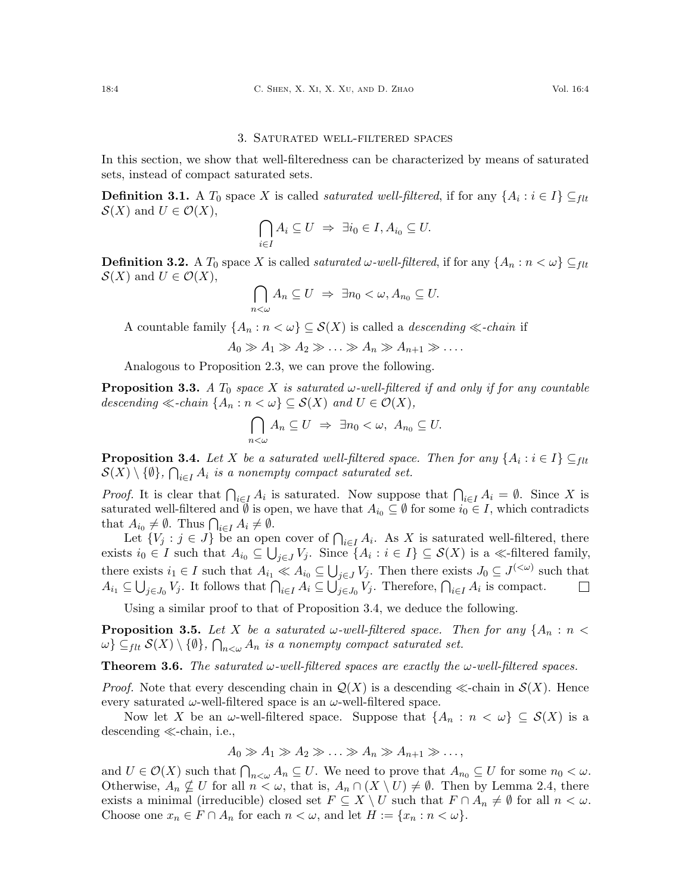#### 3. Saturated well-filtered spaces

In this section, we show that well-filteredness can be characterized by means of saturated sets, instead of compact saturated sets.

**Definition 3.1.** A  $T_0$  space X is called *saturated well-filtered*, if for any  $\{A_i : i \in I\} \subseteq_{flt}$  $\mathcal{S}(X)$  and  $U \in \mathcal{O}(X)$ ,

$$
\bigcap_{i\in I} A_i \subseteq U \ \Rightarrow \ \exists i_0 \in I, A_{i_0} \subseteq U.
$$

**Definition 3.2.** A  $T_0$  space X is called *saturated ω-well-filtered*, if for any  $\{A_n : n < \omega\} \subseteq_{\text{flt}}$  $\mathcal{S}(X)$  and  $U \in \mathcal{O}(X)$ ,

$$
\bigcap_{n<\omega}A_n\subseteq U\ \Rightarrow\ \exists n_0<\omega,A_{n_0}\subseteq U.
$$

A countable family  $\{A_n : n < \omega\} \subseteq \mathcal{S}(X)$  is called a *descending*  $\ll$ -*chain* if

 $A_0 \gg A_1 \gg A_2 \gg \ldots \gg A_n \gg A_{n+1} \gg \ldots$ 

Analogous to Proposition [2.3,](#page-2-0) we can prove the following.

**Proposition 3.3.** A  $T_0$  space X is saturated  $\omega$ -well-filtered if and only if for any countable descending  $\ll$ -chain  $\{A_n : n \lt \omega\} \subseteq \mathcal{S}(X)$  and  $U \in \mathcal{O}(X)$ ,

$$
\bigcap_{n<\omega} A_n \subseteq U \ \Rightarrow \ \exists n_0 < \omega, \ A_{n_0} \subseteq U.
$$

<span id="page-3-0"></span>**Proposition 3.4.** Let X be a saturated well-filtered space. Then for any  $\{A_i : i \in I\} \subseteq_{flt}$  $\mathcal{S}(X)\setminus\{\emptyset\}$ ,  $\bigcap_{i\in I}A_i$  is a nonempty compact saturated set.

*Proof.* It is clear that  $\bigcap_{i\in I} A_i$  is saturated. Now suppose that  $\bigcap_{i\in I} A_i = \emptyset$ . Since X is saturated well-filtered and  $\emptyset$  is open, we have that  $A_{i_0} \subseteq \emptyset$  for some  $i_0 \in I$ , which contradicts that  $A_{i_0} \neq \emptyset$ . Thus  $\bigcap_{i \in I} A_i \neq \emptyset$ .

Let  $\{V_j : j \in J\}$  be an open cover of  $\bigcap_{i \in I} A_i$ . As X is saturated well-filtered, there exists  $i_0 \in I$  such that  $A_{i_0} \subseteq \bigcup_{j \in J} V_j$ . Since  $\{A_i : i \in I\} \subseteq \mathcal{S}(X)$  is a  $\ll$ -filtered family, there exists  $i_1 \in I$  such that  $A_{i_1} \ll A_{i_0} \subseteq \bigcup_{j \in J} V_j$ . Then there exists  $J_0 \subseteq J^{(<\omega)}$  such that  $A_{i_1} \subseteq \bigcup_{j \in J_0} V_j$ . It follows that  $\bigcap_{i \in I} A_i \subseteq \bigcup_{j \in J_0} V_j$ . Therefore,  $\bigcap_{i \in I} A_i$  is compact.  $\Box$ 

Using a similar proof to that of Proposition [3.4,](#page-3-0) we deduce the following.

<span id="page-3-2"></span>**Proposition 3.5.** Let X be a saturated w-well-filtered space. Then for any  $\{A_n : n \leq n\}$  $\{\omega\} \subseteq_{flt} \mathcal{S}(X) \setminus \{\emptyset\}, \bigcap_{n<\omega} A_n$  is a nonempty compact saturated set.

<span id="page-3-1"></span>**Theorem 3.6.** The saturated  $\omega$ -well-filtered spaces are exactly the  $\omega$ -well-filtered spaces.

*Proof.* Note that every descending chain in  $\mathcal{Q}(X)$  is a descending  $\ll$ -chain in  $\mathcal{S}(X)$ . Hence every saturated  $\omega$ -well-filtered space is an  $\omega$ -well-filtered space.

Now let X be an  $\omega$ -well-filtered space. Suppose that  $\{A_n : n < \omega\} \subseteq S(X)$  is a descending  $\ll$ -chain, i.e.,

$$
A_0 \gg A_1 \gg A_2 \gg \ldots \gg A_n \gg A_{n+1} \gg \ldots,
$$

and  $U \in \mathcal{O}(X)$  such that  $\bigcap_{n \leq \omega} A_n \subseteq U$ . We need to prove that  $A_{n_0} \subseteq U$  for some  $n_0 < \omega$ . Otherwise,  $A_n \nsubseteq U$  for all  $n < \omega$ , that is,  $A_n \cap (X \setminus U) \neq \emptyset$ . Then by Lemma [2.4,](#page-2-1) there exists a minimal (irreducible) closed set  $F \subseteq X \setminus U$  such that  $F \cap A_n \neq \emptyset$  for all  $n < \omega$ . Choose one  $x_n \in F \cap A_n$  for each  $n < \omega$ , and let  $H := \{x_n : n < \omega\}.$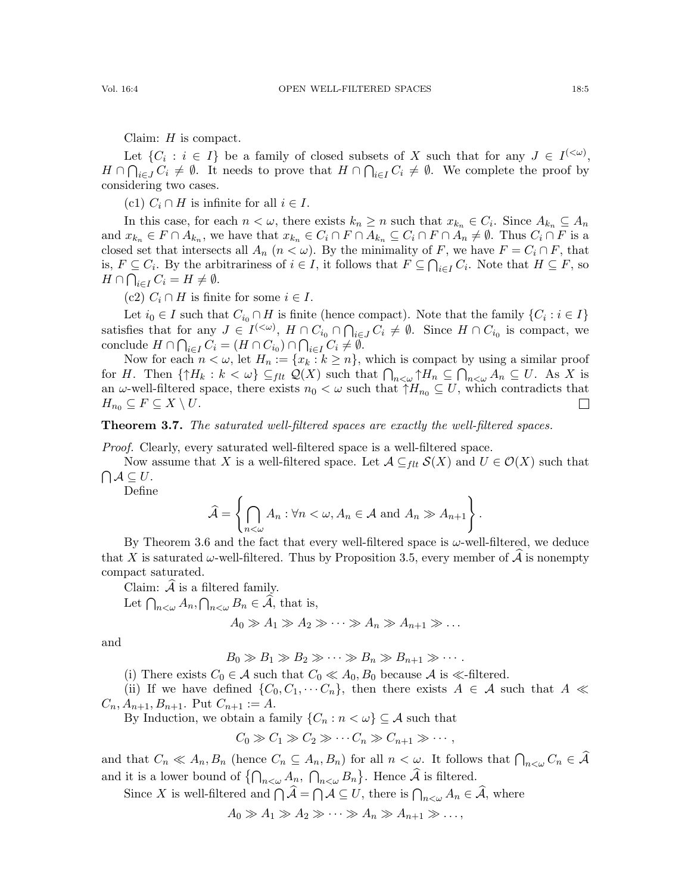Claim:  $H$  is compact.

Let  $\{C_i : i \in I\}$  be a family of closed subsets of X such that for any  $J \in I^{(<\omega)}$ ,  $H \cap \bigcap_{i \in J} C_i \neq \emptyset$ . It needs to prove that  $H \cap \bigcap_{i \in I} C_i \neq \emptyset$ . We complete the proof by considering two cases.

(c1)  $C_i \cap H$  is infinite for all  $i \in I$ .

In this case, for each  $n < \omega$ , there exists  $k_n \geq n$  such that  $x_{k_n} \in C_i$ . Since  $A_{k_n} \subseteq A_n$ and  $x_{k_n} \in F \cap A_{k_n}$ , we have that  $x_{k_n} \in C_i \cap F \cap A_{k_n} \subseteq C_i \cap F \cap A_n \neq \emptyset$ . Thus  $C_i \cap F$  is a closed set that intersects all  $A_n$   $(n < \omega)$ . By the minimality of F, we have  $F = C_i \cap F$ , that is,  $F \subseteq C_i$ . By the arbitrariness of  $i \in I$ , it follows that  $F \subseteq \bigcap_{i \in I} C_i$ . Note that  $H \subseteq F$ , so  $H \cap \bigcap_{i \in I} C_i = H \neq \emptyset.$ 

(c2)  $C_i \cap H$  is finite for some  $i \in I$ .

Let  $i_0 \in I$  such that  $C_{i_0} \cap H$  is finite (hence compact). Note that the family  $\{C_i : i \in I\}$ satisfies that for any  $J \in I^{(<\omega)}$ ,  $H \cap C_{i_0} \cap \bigcap_{i \in J} C_i \neq \emptyset$ . Since  $H \cap C_{i_0}$  is compact, we conclude  $H \cap \bigcap_{i \in I} C_i = (H \cap C_{i_0}) \cap \bigcap_{i \in I} C_i \neq \emptyset$ .

Now for each  $n < \omega$ , let  $H_n := \{x_k : k \geq n\}$ , which is compact by using a similar proof for H. Then  $\{\uparrow H_k : k < \omega\} \subseteq_{flt} \mathcal{Q}(X)$  such that  $\bigcap_{n<\omega} \uparrow H_n \subseteq \bigcap_{n<\omega} A_n \subseteq U$ . As X is an  $\omega$ -well-filtered space, there exists  $n_0 < \omega$  such that  $\uparrow H_{n_0} \subseteq U$ , which contradicts that  $H_{n_0} \subseteq F \subseteq X \setminus U$ .  $\Box$ 

<span id="page-4-0"></span>**Theorem 3.7.** The saturated well-filtered spaces are exactly the well-filtered spaces.

Proof. Clearly, every saturated well-filtered space is a well-filtered space.

Now assume that X is a well-filtered space. Let  $\mathcal{A} \subseteq_{\text{flt}} \mathcal{S}(X)$  and  $U \in \mathcal{O}(X)$  such that  $\bigcap A \subseteq U$ .

Define

$$
\widehat{\mathcal{A}} = \left\{ \bigcap_{n < \omega} A_n : \forall n < \omega, A_n \in \mathcal{A} \text{ and } A_n \gg A_{n+1} \right\}.
$$

By Theorem [3.6](#page-3-1) and the fact that every well-filtered space is  $\omega$ -well-filtered, we deduce that X is saturated  $\omega$ -well-filtered. Thus by Proposition [3.5,](#page-3-2) every member of  $\mathcal{A}$  is nonempty compact saturated.

Claim:  $A$  is a filtered family.

Let  $\bigcap_{n<\omega} A_n, \bigcap_{n<\omega} B_n \in \mathcal{A}$ , that is,

$$
A_0 \gg A_1 \gg A_2 \gg \cdots \gg A_n \gg A_{n+1} \gg \ldots
$$

and

 $B_0 \gg B_1 \gg B_2 \gg \cdots \gg B_n \gg B_{n+1} \gg \cdots$ .

(i) There exists  $C_0 \in \mathcal{A}$  such that  $C_0 \ll A_0, B_0$  because  $\mathcal{A}$  is  $\ll$ -filtered.

(ii) If we have defined  $\{C_0, C_1, \cdots C_n\}$ , then there exists  $A \in \mathcal{A}$  such that  $A \ll$  $C_n, A_{n+1}, B_{n+1}$ . Put  $C_{n+1} := A$ .

By Induction, we obtain a family  $\{C_n : n < \omega\} \subseteq \mathcal{A}$  such that

$$
C_0 \gg C_1 \gg C_2 \gg \cdots C_n \gg C_{n+1} \gg \cdots,
$$

and that  $C_n \ll A_n, B_n$  (hence  $C_n \subseteq A_n, B_n$ ) for all  $n < \omega$ . It follows that  $\bigcap_{n < \omega} C_n \in \mathcal{A}$ and it is a lower bound of  $\{\bigcap_{n<\omega}A_n, \bigcap_{n<\omega}B_n\}$ . Hence  $\widehat{\mathcal{A}}$  is filtered.

Since X is well-filtered and  $\bigcap A = \bigcap A \subseteq U$ , there is  $\bigcap_{n<\omega} A_n \in \mathcal{A}$ , where

 $A_0 \gg A_1 \gg A_2 \gg \cdots \gg A_n \gg A_{n+1} \gg \ldots,$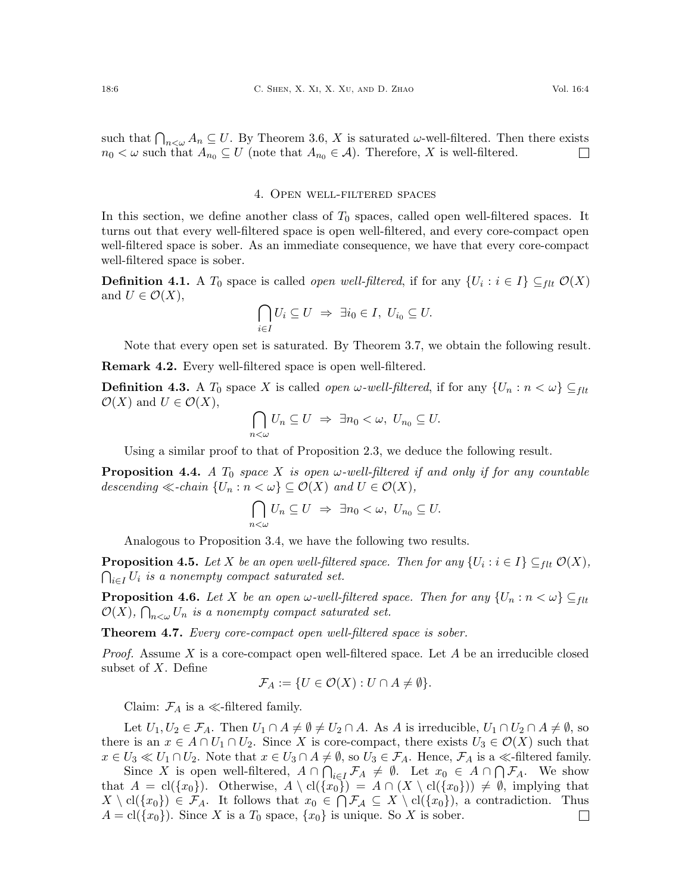such that  $\bigcap_{n<\omega} A_n \subseteq U$ . By Theorem [3.6,](#page-3-1) X is saturated  $\omega$ -well-filtered. Then there exists  $n_0 < \omega$  such that  $A_{n_0} \subseteq U$  (note that  $A_{n_0} \in \mathcal{A}$ ). Therefore, X is well-filtered.  $\Box$ 

### 4. Open well-filtered spaces

In this section, we define another class of  $T_0$  spaces, called open well-filtered spaces. It turns out that every well-filtered space is open well-filtered, and every core-compact open well-filtered space is sober. As an immediate consequence, we have that every core-compact well-filtered space is sober.

**Definition 4.1.** A  $T_0$  space is called *open well-filtered*, if for any  $\{U_i : i \in I\} \subseteq_{ftt} \mathcal{O}(X)$ and  $U \in \mathcal{O}(X)$ ,

$$
\bigcap_{i\in I}U_i\subseteq U \ \Rightarrow \ \exists i_0\in I, \ U_{i_0}\subseteq U.
$$

Note that every open set is saturated. By Theorem [3.7,](#page-4-0) we obtain the following result.

<span id="page-5-0"></span>Remark 4.2. Every well-filtered space is open well-filtered.

**Definition 4.3.** A  $T_0$  space X is called *open ω-well-filtered*, if for any  $\{U_n : n < \omega\} \subseteq_{ft}$  $\mathcal{O}(X)$  and  $U \in \mathcal{O}(X)$ ,

$$
\bigcap_{n<\omega}U_n\subseteq U\ \Rightarrow\ \exists n_0<\omega,\ U_{n_0}\subseteq U.
$$

Using a similar proof to that of Proposition [2.3,](#page-2-0) we deduce the following result.

**Proposition 4.4.** A  $T_0$  space X is open  $\omega$ -well-filtered if and only if for any countable descending  $\ll$ -chain  $\{U_n : n \lt \omega\} \subseteq \mathcal{O}(X)$  and  $U \in \mathcal{O}(X)$ ,

$$
\bigcap_{n<\omega}U_n\subseteq U\;\Rightarrow\; \exists n_0<\omega,\; U_{n_0}\subseteq U.
$$

Analogous to Proposition [3.4,](#page-3-0) we have the following two results.

<span id="page-5-2"></span>**Proposition 4.5.** Let X be an open well-filtered space. Then for any  $\{U_i : i \in I\} \subseteq_{flt} \mathcal{O}(X)$ ,  $\bigcap_{i\in I}U_i$  is a nonempty compact saturated set.

**Proposition 4.6.** Let X be an open  $\omega$ -well-filtered space. Then for any  $\{U_n : n < \omega\} \subseteq_{flt}$  $\mathcal{O}(X)$ ,  $\bigcap_{n<\omega}U_n$  is a nonempty compact saturated set.

<span id="page-5-1"></span>Theorem 4.7. Every core-compact open well-filtered space is sober.

*Proof.* Assume X is a core-compact open well-filtered space. Let A be an irreducible closed subset of X. Define

$$
\mathcal{F}_A := \{ U \in \mathcal{O}(X) : U \cap A \neq \emptyset \}.
$$

Claim:  $\mathcal{F}_A$  is a  $\ll$ -filtered family.

Let  $U_1, U_2 \in \mathcal{F}_A$ . Then  $U_1 \cap A \neq \emptyset \neq U_2 \cap A$ . As A is irreducible,  $U_1 \cap U_2 \cap A \neq \emptyset$ , so there is an  $x \in A \cap U_1 \cap U_2$ . Since X is core-compact, there exists  $U_3 \in \mathcal{O}(X)$  such that  $x \in U_3 \ll U_1 \cap U_2$ . Note that  $x \in U_3 \cap A \neq \emptyset$ , so  $U_3 \in \mathcal{F}_A$ . Hence,  $\mathcal{F}_A$  is a  $\ll$ -filtered family.

Since X is open well-filtered,  $A \cap \bigcap_{i \in I} \mathcal{F}_A \neq \emptyset$ . Let  $x_0 \in A \cap \bigcap \mathcal{F}_A$ . We show that  $A = \text{cl}(\{x_0\})$ . Otherwise,  $A \setminus \text{cl}(\{x_0\}) = A \cap (X \setminus \text{cl}(\{x_0\})) \neq \emptyset$ , implying that  $X \setminus cl({x_0}) \in \mathcal{F}_A$ . It follows that  $x_0 \in \bigcap \mathcal{F}_A \subseteq X \setminus cl({x_0})$ , a contradiction. Thus  $A = cl({x_0})$ . Since X is a  $T_0$  space,  ${x_0}$  is unique. So X is sober.  $\Box$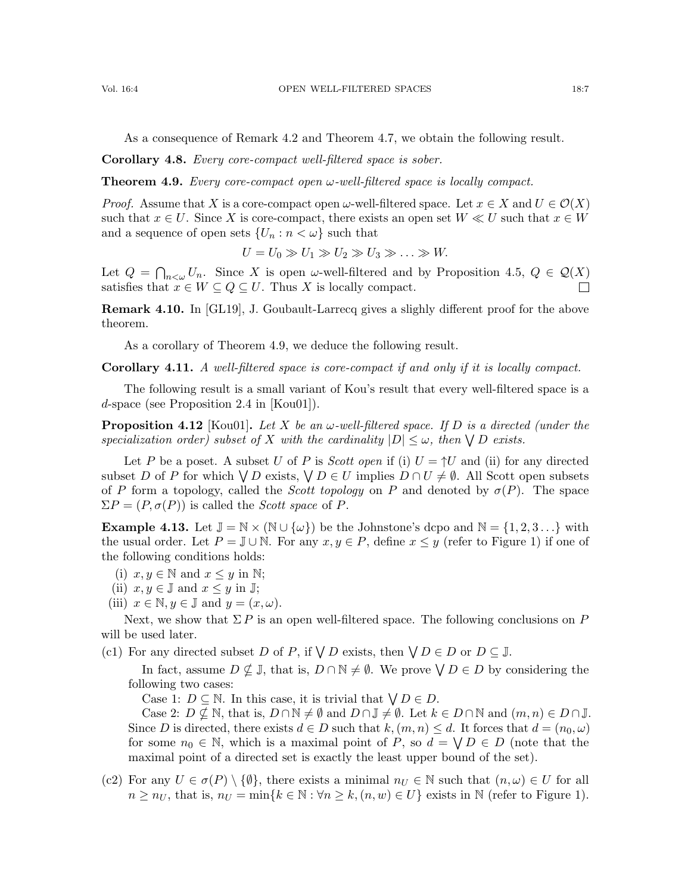As a consequence of Remark [4.2](#page-5-0) and Theorem [4.7,](#page-5-1) we obtain the following result.

Corollary 4.8. Every core-compact well-filtered space is sober.

<span id="page-6-0"></span>**Theorem 4.9.** Every core-compact open  $\omega$ -well-filtered space is locally compact.

*Proof.* Assume that X is a core-compact open  $\omega$ -well-filtered space. Let  $x \in X$  and  $U \in \mathcal{O}(X)$ such that  $x \in U$ . Since X is core-compact, there exists an open set  $W \ll U$  such that  $x \in W$ and a sequence of open sets  $\{U_n : n < \omega\}$  such that

$$
U = U_0 \gg U_1 \gg U_2 \gg U_3 \gg \ldots \gg W.
$$

Let  $Q = \bigcap_{n<\omega} U_n$ . Since X is open  $\omega$ -well-filtered and by Proposition [4.5,](#page-5-2)  $Q \in \mathcal{Q}(X)$ satisfies that  $x \in W \subseteq Q \subseteq U$ . Thus X is locally compact.

Remark 4.10. In [\[GL19\]](#page-8-9), J. Goubault-Larrecq gives a slighly different proof for the above theorem.

As a corollary of Theorem [4.9,](#page-6-0) we deduce the following result.

Corollary 4.11. A well-filtered space is core-compact if and only if it is locally compact.

The following result is a small variant of Kou's result that every well-filtered space is a d-space (see Proposition 2.4 in [\[Kou01\]](#page-8-4)).

<span id="page-6-1"></span>**Proposition 4.12** [\[Kou01\]](#page-8-4). Let X be an  $\omega$ -well-filtered space. If D is a directed (under the specialization order) subset of X with the cardinality  $|D| \leq \omega$ , then  $\bigvee D$  exists.

Let P be a poset. A subset U of P is Scott open if (i)  $U = \uparrow U$  and (ii) for any directed subset D of P for which  $\bigvee D$  exists,  $\bigvee D \in U$  implies  $D \cap U \neq \emptyset$ . All Scott open subsets of P form a topology, called the *Scott topology* on P and denoted by  $\sigma(P)$ . The space  $\Sigma P = (P, \sigma(P))$  is called the *Scott space* of P.

<span id="page-6-2"></span>**Example 4.13.** Let  $\mathbb{J} = \mathbb{N} \times (\mathbb{N} \cup \{\omega\})$  be the Johnstone's dcpo and  $\mathbb{N} = \{1, 2, 3 \dots\}$  with the usual order. Let  $P = \mathbb{J} \cup \mathbb{N}$ . For any  $x, y \in P$ , define  $x \leq y$  (refer to Figure 1) if one of the following conditions holds:

- (i)  $x, y \in \mathbb{N}$  and  $x \leq y$  in  $\mathbb{N}$ ;
- (ii)  $x, y \in \mathbb{J}$  and  $x \leq y$  in  $\mathbb{J}$ ;
- (iii)  $x \in \mathbb{N}, y \in \mathbb{J}$  and  $y = (x, \omega)$ .

Next, we show that  $\Sigma P$  is an open well-filtered space. The following conclusions on P will be used later.

(c1) For any directed subset D of P, if  $\bigvee D$  exists, then  $\bigvee D \in D$  or  $D \subseteq \mathbb{J}$ .

In fact, assume  $D \nsubseteq \mathbb{J}$ , that is,  $D \cap \mathbb{N} \neq \emptyset$ . We prove  $\bigvee D \in D$  by considering the following two cases:

Case 1:  $D \subseteq \mathbb{N}$ . In this case, it is trivial that  $\bigvee D \in D$ .

Case 2:  $D \nsubseteq \mathbb{N}$ , that is,  $D \cap \mathbb{N} \neq \emptyset$  and  $D \cap \mathbb{J} \neq \emptyset$ . Let  $k \in D \cap \mathbb{N}$  and  $(m, n) \in D \cap \mathbb{J}$ . Since D is directed, there exists  $d \in D$  such that  $k,(m,n) \leq d$ . It forces that  $d = (n_0,\omega)$ for some  $n_0 \in \mathbb{N}$ , which is a maximal point of P, so  $d = \bigvee D \in D$  (note that the maximal point of a directed set is exactly the least upper bound of the set).

(c2) For any  $U \in \sigma(P) \setminus \{\emptyset\}$ , there exists a minimal  $n_U \in \mathbb{N}$  such that  $(n, \omega) \in U$  for all  $n \geq n_U$ , that is,  $n_U = \min\{k \in \mathbb{N} : \forall n \geq k, (n, w) \in U\}$  exists in N (refer to Figure 1).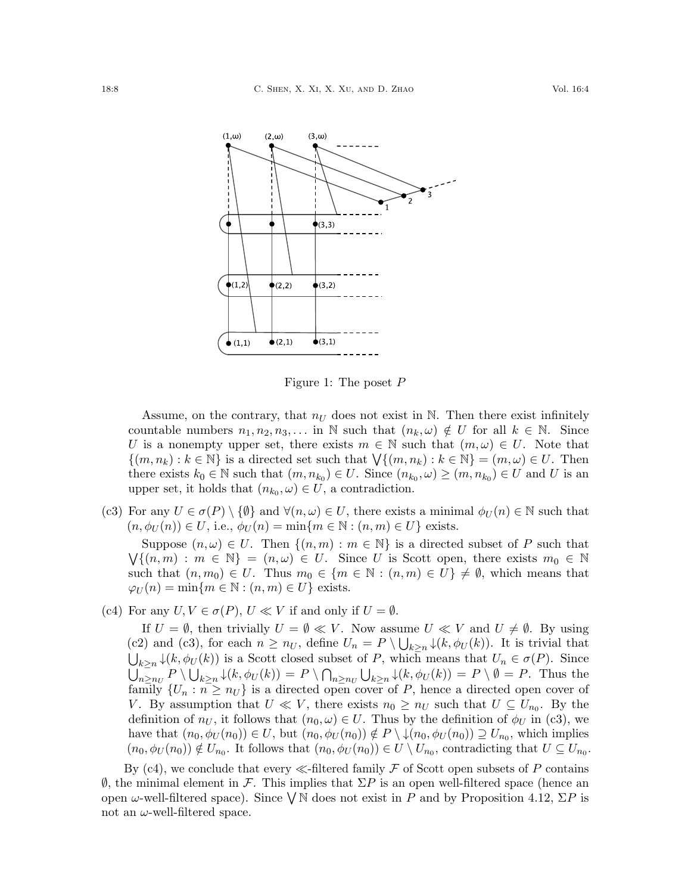

Figure 1: The poset P

Assume, on the contrary, that  $n_U$  does not exist in N. Then there exist infinitely countable numbers  $n_1, n_2, n_3, \ldots$  in N such that  $(n_k, \omega) \notin U$  for all  $k \in \mathbb{N}$ . Since U is a nonempty upper set, there exists  $m \in \mathbb{N}$  such that  $(m,\omega) \in U$ . Note that  $\{(m, n_k) : k \in \mathbb{N}\}\$ is a directed set such that  $\bigvee \{(m, n_k) : k \in \mathbb{N}\}\ = (m, \omega) \in U$ . Then there exists  $k_0 \in \mathbb{N}$  such that  $(m, n_{k_0}) \in U$ . Since  $(n_{k_0}, \omega) \ge (m, n_{k_0}) \in U$  and U is an upper set, it holds that  $(n_{k_0}, \omega) \in U$ , a contradiction.

(c3) For any  $U \in \sigma(P) \setminus \{\emptyset\}$  and  $\forall (n,\omega) \in U$ , there exists a minimal  $\phi_U(n) \in \mathbb{N}$  such that  $(n, \phi_U(n)) \in U$ , i.e.,  $\phi_U(n) = \min\{m \in \mathbb{N} : (n, m) \in U\}$  exists.

Suppose  $(n, \omega) \in U$ . Then  $\{(n, m) : m \in \mathbb{N}\}\$ is a directed subset of P such that  $\bigvee \{(n,m) : m \in \mathbb{N}\} = (n,\omega) \in U$ . Since U is Scott open, there exists  $m_0 \in \mathbb{N}$ such that  $(n, m_0) \in U$ . Thus  $m_0 \in \{m \in \mathbb{N} : (n, m) \in U\} \neq \emptyset$ , which means that  $\varphi_U(n) = \min\{m \in \mathbb{N} : (n, m) \in U\}$  exists.

(c4) For any  $U, V \in \sigma(P)$ ,  $U \ll V$  if and only if  $U = \emptyset$ .

If  $U = \emptyset$ , then trivially  $U = \emptyset \ll V$ . Now assume  $U \ll V$  and  $U \neq \emptyset$ . By using (c2) and (c3), for each  $n \geq n_U$ , define  $U_n = P \setminus \bigcup_{k \geq n} \downarrow (k, \phi_U(k))$ . It is trivial that  $\bigcup_{k\geq n} \downarrow (k, \phi_U(k))$  is a Scott closed subset of P, which means that  $U_n \in \sigma(P)$ . Since  $\bigcup_{n\geq n_U} P \setminus \bigcup_{k\geq n} \downarrow (k, \phi_U(k)) = P \setminus \bigcap_{n\geq n_U} \bigcup_{k\geq n} \downarrow (k, \phi_U(k)) = P \setminus \emptyset = P.$  Thus the family  $\{U_n : n \geq n_U\}$  is a directed open cover of P, hence a directed open cover of V. By assumption that  $U \ll V$ , there exists  $n_0 \geq n_U$  such that  $U \subseteq U_{n_0}$ . By the definition of  $n_U$ , it follows that  $(n_0, \omega) \in U$ . Thus by the definition of  $\phi_U$  in (c3), we have that  $(n_0, \phi_U(n_0)) \in U$ , but  $(n_0, \phi_U(n_0)) \notin P \setminus \downarrow (n_0, \phi_U(n_0)) \supseteq U_{n_0}$ , which implies  $(n_0, \phi_U(n_0)) \notin U_{n_0}$ . It follows that  $(n_0, \phi_U(n_0)) \in U \setminus U_{n_0}$ , contradicting that  $U \subseteq U_{n_0}$ .

By (c4), we conclude that every  $\ll$ -filtered family F of Scott open subsets of P contains  $\emptyset$ , the minimal element in F. This implies that  $\Sigma P$  is an open well-filtered space (hence an open  $\omega$ -well-filtered space). Since  $\bigvee N$  does not exist in P and by Proposition [4.12,](#page-6-1)  $\Sigma P$  is not an  $\omega$ -well-filtered space.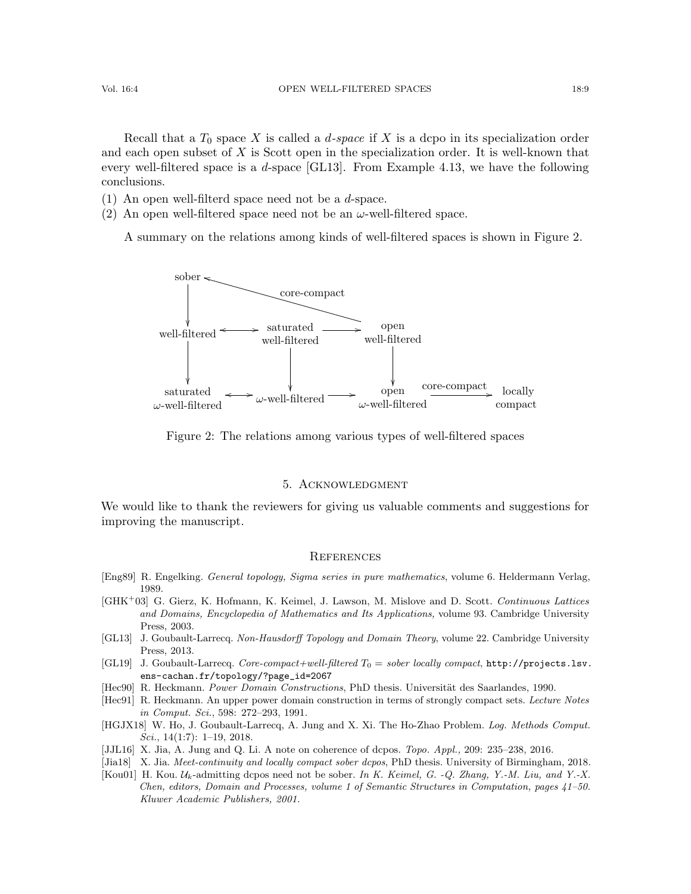Recall that a  $T_0$  space X is called a d-space if X is a dcpo in its specialization order and each open subset of  $X$  is Scott open in the specialization order. It is well-known that every well-filtered space is a d-space [\[GL13\]](#page-8-8). From Example [4.13,](#page-6-2) we have the following conclusions.

(1) An open well-filterd space need not be a d-space.

(2) An open well-filtered space need not be an  $\omega$ -well-filtered space.

A summary on the relations among kinds of well-filtered spaces is shown in Figure 2.



Figure 2: The relations among various types of well-filtered spaces

## 5. Acknowledgment

We would like to thank the reviewers for giving us valuable comments and suggestions for improving the manuscript.

#### **REFERENCES**

- <span id="page-8-6"></span>[Eng89] R. Engelking. General topology, Sigma series in pure mathematics, volume 6. Heldermann Verlag, 1989.
- <span id="page-8-7"></span>[GHK<sup>+</sup>03] G. Gierz, K. Hofmann, K. Keimel, J. Lawson, M. Mislove and D. Scott. Continuous Lattices and Domains, Encyclopedia of Mathematics and Its Applications, volume 93. Cambridge University Press, 2003.
- <span id="page-8-8"></span>[GL13] J. Goubault-Larrecq. Non-Hausdorff Topology and Domain Theory, volume 22. Cambridge University Press, 2013.
- <span id="page-8-9"></span>[GL19] J. Goubault-Larrecq. Core-compact+well-filtered  $T_0 =$  sober locally compact, [http://projects.lsv.](http://projects.lsv.ens-cachan.fr/topology/?page_id=2067) [ens-cachan.fr/topology/?page\\_id=2067](http://projects.lsv.ens-cachan.fr/topology/?page_id=2067)
- <span id="page-8-0"></span>[Hec90] R. Heckmann. Power Domain Constructions, PhD thesis. Universität des Saarlandes, 1990.
- <span id="page-8-1"></span>[Hec91] R. Heckmann. An upper power domain construction in terms of strongly compact sets. Lecture Notes in Comput. Sci., 598: 272–293, 1991.
- <span id="page-8-2"></span>[HGJX18] W. Ho, J. Goubault-Larrecq, A. Jung and X. Xi. The Ho-Zhao Problem. Log. Methods Comput. Sci.,  $14(1:7)$ :  $1-19$ ,  $2018$ .
- <span id="page-8-3"></span>[JJL16] X. Jia, A. Jung and Q. Li. A note on coherence of dcpos. Topo. Appl., 209: 235–238, 2016.
- <span id="page-8-5"></span>[Jia18] X. Jia. Meet-continuity and locally compact sober dcpos, PhD thesis. University of Birmingham, 2018.
- <span id="page-8-4"></span>[Kou01] H. Kou.  $\mathcal{U}_k$ -admitting dcpos need not be sober. In K. Keimel, G. -Q. Zhang, Y.-M. Liu, and Y.-X. Chen, editors, Domain and Processes, volume 1 of Semantic Structures in Computation, pages 41–50. Kluwer Academic Publishers, 2001.